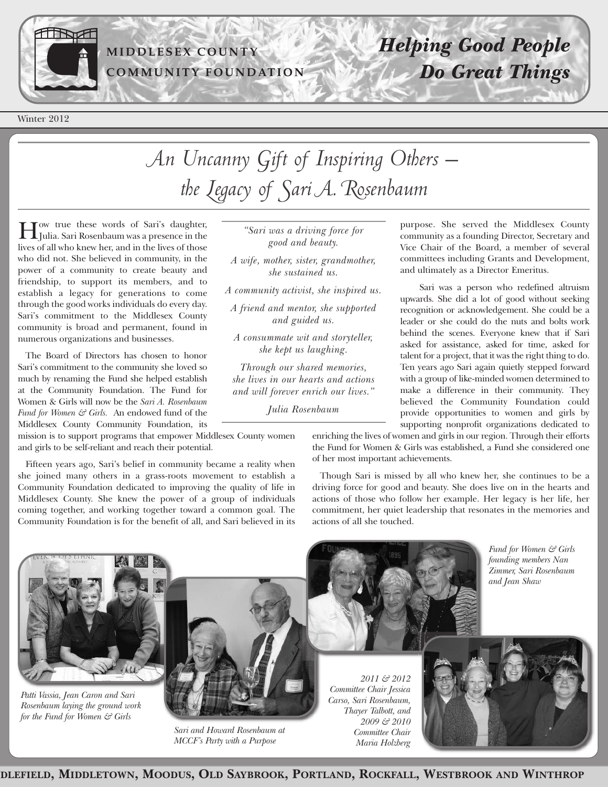

### **MI D D LESEX C O U N TY C OMMU N ITY F O U N D ATI O N**

Winter 2012

# *Helping Good People Do Great Things*

# *An Uncanny Gift of Inspiring Others – the Legacy of Sari A. Rosenbaum*

How true these words of Sari's daughter, Julia. Sari Rosenbaum was a presence in the lives of all who knew her, and in the lives of those who did not. She believed in community, in the power of a community to create beauty and friendship, to support its members, and to establish a legacy for generations to come through the good works individuals do every day. Sari's commitment to the Middlesex County community is broad and permanent, found in numerous organizations and businesses.

The Board of Directors has chosen to honor Sari's commitment to the community she loved so much by renaming the Fund she helped establish at the Community Foundation. The Fund for Women & Girls will now be the *Sari A. Rosenbaum Fund for Women & Girls.* An endowed fund of the Middlesex County Community Foundation, its

mission is to support programs that empower Middlesex County women and girls to be self-reliant and reach their potential.

Fifteen years ago, Sari's belief in community became a reality when she joined many others in a grass-roots movement to establish a Community Foundation dedicated to improving the quality of life in Middlesex County. She knew the power of a group of individuals coming together, and working together toward a common goal. The Community Foundation is for the benefit of all, and Sari believed in its

*"Sari was a driving force for good and beauty.*

*A wife, mother, sister, grandmother, she sustained us.*

*A community activist, she inspired us.*

*A friend and mentor, she supported and guided us.*

*A consummate wit and storyteller, she kept us laughing.*

*Through our shared memories, she lives in our hearts and actions and will forever enrich our lives."*

*Julia Rosenbaum*

purpose. She served the Middlesex County community as a founding Director, Secretary and Vice Chair of the Board, a member of several committees including Grants and Development, and ultimately as a Director Emeritus.

Sari was a person who redefined altruism upwards. She did a lot of good without seeking recognition or acknowledgement. She could be a leader or she could do the nuts and bolts work behind the scenes. Everyone knew that if Sari asked for assistance, asked for time, asked for talent for a project, that it was the right thing to do. Ten years ago Sari again quietly stepped forward with a group of like-minded women determined to make a difference in their community. They believed the Community Foundation could provide opportunities to women and girls by supporting nonprofit organizations dedicated to

enriching the lives of women and girls in our region. Through their efforts the Fund for Women & Girls was established, a Fund she considered one of her most important achievements.

Though Sari is missed by all who knew her, she continues to be a driving force for good and beauty. She does live on in the hearts and actions of those who follow her example. Her legacy is her life, her commitment, her quiet leadership that resonates in the memories and actions of all she touched.



*Patti Vassia, Jean Caron and Sari Rosenbaum laying the ground work for the Fund for Women & Girls*



*Sari and Howard Rosenbaum at MCCF's Party with a Purpose*





*Fund for Women & Girls founding members Nan Zimmer, Sari Rosenbaum*

*and Jean Shaw*

DLEFIELD, MIDDLETOWN, MOODUS, OLD SAYBROOK, PORTLAND, ROCKFALL, WESTBROOK AND WINTHROP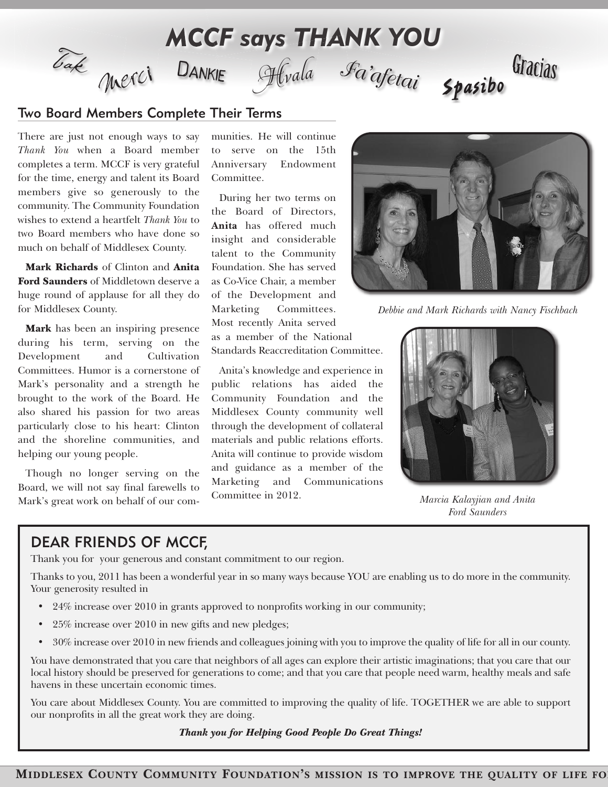

#### Two Board Members Complete Their Terms

There are just not enough ways to say *Thank You* when a Board member completes a term. MCCF is very grateful for the time, energy and talent its Board members give so generously to the community. The Community Foundation wishes to extend a heartfelt *Thank You* to two Board members who have done so much on behalf of Middlesex County.

**Mark Richards** of Clinton and **Anita Ford Saunders** of Middletown deserve a huge round of applause for all they do for Middlesex County.

**Mark** has been an inspiring presence during his term, serving on the Development and Cultivation Committees. Humor is a cornerstone of Mark's personality and a strength he brought to the work of the Board. He also shared his passion for two areas particularly close to his heart: Clinton and the shoreline communities, and helping our young people.

Though no longer serving on the Board, we will not say final farewells to Mark's great work on behalf of our communities. He will continue to serve on the 15th Anniversary Endowment Committee.

During her two terms on the Board of Directors, **Anita** has offered much insight and considerable talent to the Community Foundation. She has served as Co-Vice Chair, a member of the Development and Marketing Committees. Most recently Anita served as a member of the National Standards Reaccreditation Committee.

Anita's knowledge and experience in public relations has aided the Community Foundation and the Middlesex County community well through the development of collateral materials and public relations efforts. Anita will continue to provide wisdom and guidance as a member of the Marketing and Communications Committee in 2012. *Marcia Kalayjian and Anita*



*Debbie and Mark Richards with Nancy Fischbach*



*Ford Saunders*

### DEAR FRIENDS OF MCCF,

Thank you for your generous and constant commitment to our region.

Thanks to you, 2011 has been a wonderful year in so many ways because YOU are enabling us to do more in the community. Your generosity resulted in

- 24% increase over 2010 in grants approved to nonprofits working in our community;
- 25% increase over 2010 in new gifts and new pledges;
- 30% increase over 2010 in new friends and colleagues joining with you to improve the quality of life for all in our county.

You have demonstrated that you care that neighbors of all ages can explore their artistic imaginations; that you care that our local history should be preserved for generations to come; and that you care that people need warm, healthy meals and safe havens in these uncertain economic times.

You care about Middlesex County. You are committed to improving the quality of life. TOGETHER we are able to support our nonprofits in all the great work they are doing.

*Thank you for Helping Good People Do Great Things!*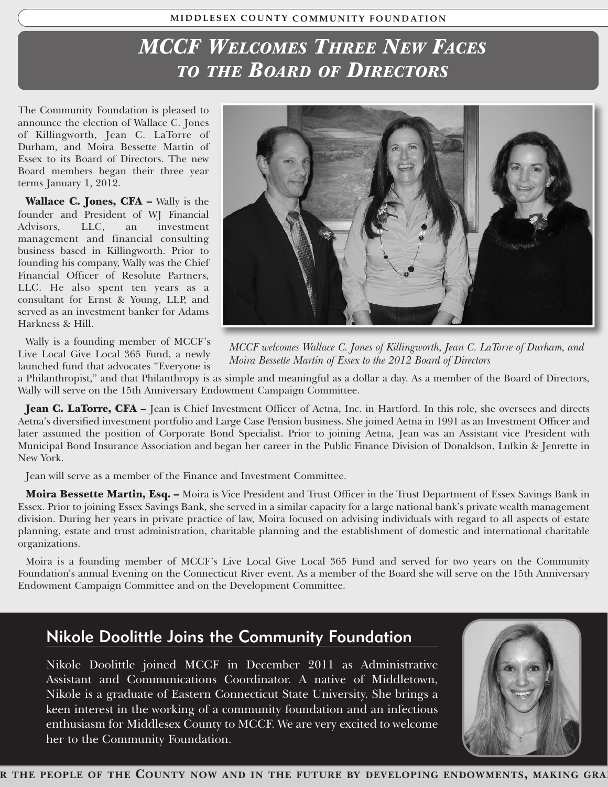#### **MI D D LESEX C O U N TY C OMMU N ITY F O U N D ATI O N**

# $\overline{MCCF}$  *Welcomes Three New Faces TO THE BOARD OF DIRECTORS*

The Community Foundation is pleased to announce the election of Wallace C. Jones of Killingworth, Jean C. LaTorre of Durham, and Moira Bessette Martin of Essex to its Board of Directors. The new Board members began their three year terms January 1, 2012.

**Wallace C. Jones, CFA –** Wally is the founder and President of WJ Financial Advisors, LLC, an investment management and financial consulting business based in Killingworth. Prior to founding his company, Wally was the Chief Financial Officer of Resolute Partners, LLC. He also spent ten years as a consultant for Ernst & Young, LLP, and served as an investment banker for Adams Harkness & Hill.

Wally is a founding member of MCCF's Live Local Give Local 365 Fund, a newly launched fund that advocates "Everyone is



*MCCF welcomes Wallace C. Jones of Killingworth, Jean C. LaTorre of Durham, and Moira Bessette Martin of Essex to the 2012 Board of Directors*

a Philanthropist," and that Philanthropy is as simple and meaningful as a dollar a day. As a member of the Board of Directors, Wally will serve on the 15th Anniversary Endowment Campaign Committee.

**Jean C. LaTorre, CFA –** Jean is Chief Investment Officer of Aetna, Inc. in Hartford. In this role, she oversees and directs Aetna's diversified investment portfolio and Large Case Pension business. She joined Aetna in 1991 as an Investment Officer and later assumed the position of Corporate Bond Specialist. Prior to joining Aetna, Jean was an Assistant vice President with Municipal Bond Insurance Association and began her career in the Public Finance Division of Donaldson, Lufkin & Jenrette in New York.

Jean will serve as a member of the Finance and Investment Committee.

**Moira Bessette Martin, Esq. –** Moira is Vice President and Trust Officer in the Trust Department of Essex Savings Bank in Essex. Prior to joining Essex Savings Bank, she served in a similar capacity for a large national bank's private wealth management division. During her years in private practice of law, Moira focused on advising individuals with regard to all aspects of estate planning, estate and trust administration, charitable planning and the establishment of domestic and international charitable organizations.

Moira is a founding member of MCCF's Live Local Give Local 365 Fund and served for two years on the Community Foundation's annual Evening on the Connecticut River event. As a member of the Board she will serve on the 15th Anniversary Endowment Campaign Committee and on the Development Committee.

## Nikole Doolittle Joins the Community Foundation

Nikole Doolittle joined MCCF in December 2011 as Administrative Assistant and Communications Coordinator. A native of Middletown, Nikole is a graduate of Eastern Connecticut State University. She brings a keen interest in the working of a community foundation and an infectious enthusiasm for Middlesex County to MCCF. We are very excited to welcome her to the Community Foundation.

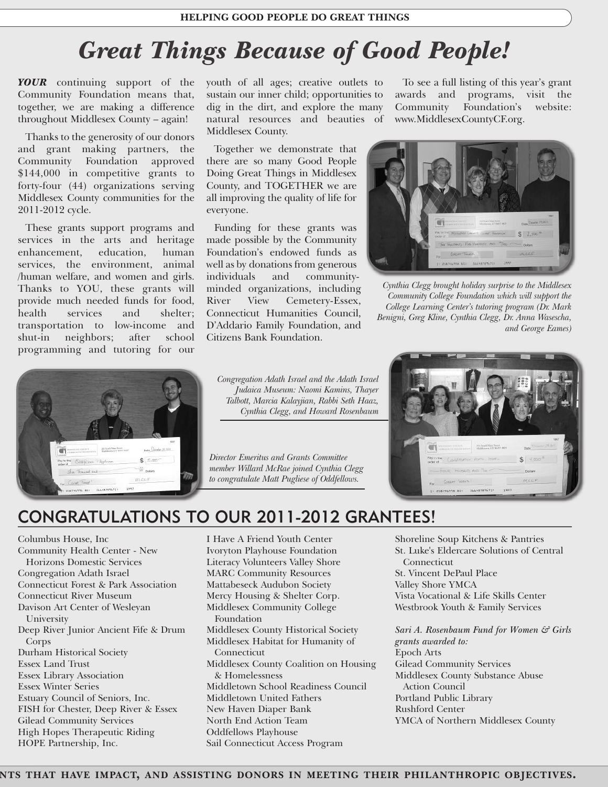#### **HELPING GOOD PEOPLE DO GREAT THINGS**

# *Great Things Because of Good People!*

*YOUR* continuing support of the Community Foundation means that, together, we are making a difference throughout Middlesex County – again!

Thanks to the generosity of our donors and grant making partners, the Community Foundation approved \$144,000 in competitive grants to forty-four (44) organizations serving Middlesex County communities for the 2011-2012 cycle.

These grants support programs and services in the arts and heritage enhancement, education, human services, the environment, animal /human welfare, and women and girls. Thanks to YOU, these grants will provide much needed funds for food, health services and shelter; transportation to low-income and shut-in neighbors; after school programming and tutoring for our



youth of all ages; creative outlets to sustain our inner child; opportunities to dig in the dirt, and explore the many natural resources and beauties of Middlesex County.

Together we demonstrate that there are so many Good People Doing Great Things in Middlesex County, and TOGETHER we are all improving the quality of life for everyone.

Funding for these grants was made possible by the Community Foundation's endowed funds as well as by donations from generous individuals and communityminded organizations, including River View Cemetery-Essex, Connecticut Humanities Council, D'Addario Family Foundation, and Citizens Bank Foundation.

*Congregation Adath Israel and the Adath Israel Judaica Museum: Naomi Kamins, Thayer Talbott, Marcia Kalayjian, Rabbi Seth Haaz, Cynthia Clegg, and Howard Rosenbaum*

*Director Emeritus and Grants Committee member Willard McRae joined Cynthia Clegg to congratulate Matt Pugliese of Oddfellows.*

To see a full listing of this year's grant awards and programs, visit the Community Foundation's website: www.MiddlesexCountyCF.org.



*Cynthia Clegg brought holiday surprise to the Middlesex Community College Foundation which will support the College Learning Center's tutoring program (Dr. Mark Benigni, Greg Kline, Cynthia Clegg, Dr. Anna Wasescha, and George Eames)*



## CONGRATULATIONS TO OUR 2011-2012 GRANTEES!

Columbus House, Inc Community Health Center - New Horizons Domestic Services Congregation Adath Israel Connecticut Forest & Park Association Connecticut River Museum Davison Art Center of Wesleyan University Deep River Junior Ancient Fife & Drum Corps Durham Historical Society Essex Land Trust Essex Library Association Essex Winter Series Estuary Council of Seniors, Inc. FISH for Chester, Deep River & Essex Gilead Community Services High Hopes Therapeutic Riding HOPE Partnership, Inc.

I Have A Friend Youth Center Ivoryton Playhouse Foundation Literacy Volunteers Valley Shore MARC Community Resources Mattabeseck Audubon Society Mercy Housing & Shelter Corp. Middlesex Community College Foundation Middlesex County Historical Society Middlesex Habitat for Humanity of Connecticut Middlesex County Coalition on Housing & Homelessness Middletown School Readiness Council Middletown United Fathers New Haven Diaper Bank North End Action Team Oddfellows Playhouse Sail Connecticut Access Program

Shoreline Soup Kitchens & Pantries St. Luke's Eldercare Solutions of Central Connecticut St. Vincent DePaul Place

Valley Shore YMCA Vista Vocational & Life Skills Center Westbrook Youth & Family Services

*Sari A. Rosenbaum Fund for Women & Girls grants awarded to:* Epoch Arts Gilead Community Services Middlesex County Substance Abuse Action Council Portland Public Library Rushford Center YMCA of Northern Middlesex County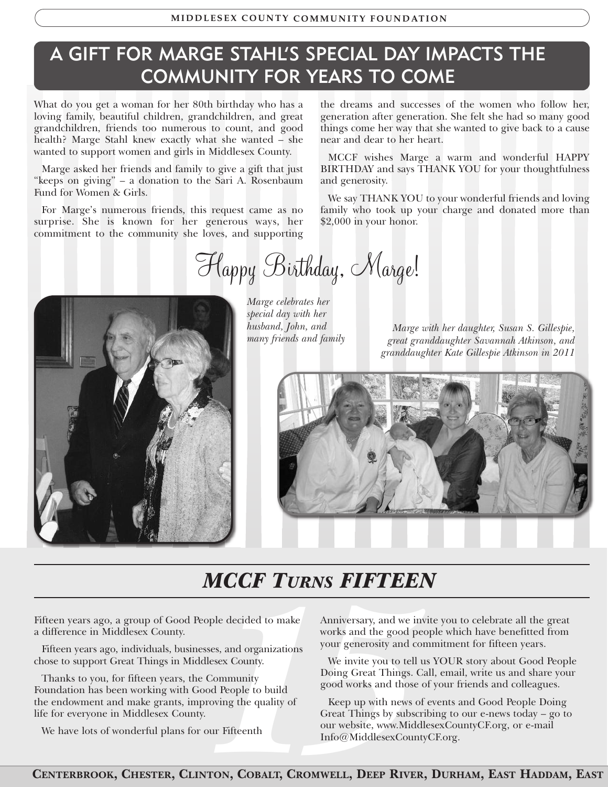## A GIFT FOR MARGE STAHL'S SPECIAL DAY IMPACTS THE COMMUNITY FOR YEARS TO COME

What do you get a woman for her 80th birthday who has a loving family, beautiful children, grandchildren, and great grandchildren, friends too numerous to count, and good health? Marge Stahl knew exactly what she wanted – she wanted to support women and girls in Middlesex County.

Marge asked her friends and family to give a gift that just "keeps on giving" – a donation to the Sari A. Rosenbaum Fund for Women & Girls.

For Marge's numerous friends, this request came as no surprise. She is known for her generous ways, her commitment to the community she loves, and supporting the dreams and successes of the women who follow her, generation after generation. She felt she had so many good things come her way that she wanted to give back to a cause near and dear to her heart.

MCCF wishes Marge a warm and wonderful HAPPY BIRTHDAY and says THANK YOU for your thoughtfulness and generosity.

We say THANK YOU to your wonderful friends and loving family who took up your charge and donated more than \$2,000 in your honor.

*Happy Birthday, Marge!*



*Marge celebrates her special day with her husband, John, and many friends and family*

*Marge with her daughter, Susan S. Gillespie, great granddaughter Savannah Atkinson, and granddaughter Kate Gillespie Atkinson in 2011*



## *MCCF TURNS FIFTEEN*

Fifteen years ago, a group of Good People decided to make a difference in Middlesex County.

Fifteen years ago, individuals, businesses, and organizations chose to support Great Things in Middlesex County.

Thanks to you, for fifteen years, the Community Foundation has been working with Good People to build the endowment and make grants, improving the quality of life for everyone in Middlesex County.

We have lots of wonderful plans for our Fifteenth

Anniversary, and we invite you to celebrate all the great works and the good people which have benefitted from your generosity and commitment for fifteen years.

We invite you to tell us YOUR story about Good People Doing Great Things. Call, email, write us and share your good works and those of your friends and colleagues.

pple decided to make<br>
works and the good peo<br>
ses, and organizations<br>
lesex County.<br>
Lesex County.<br>
Community<br>
Doing Great Things. Ca<br>
good works and those of<br>
coving the quality of<br>
Fifteenth<br>
Lesex County website, www.Mi Keep up with news of events and Good People Doing Great Things by subscribing to our e-news today – go to our website, www.MiddlesexCountyCF.org, or e-mail Info@MiddlesexCountyCF.org.